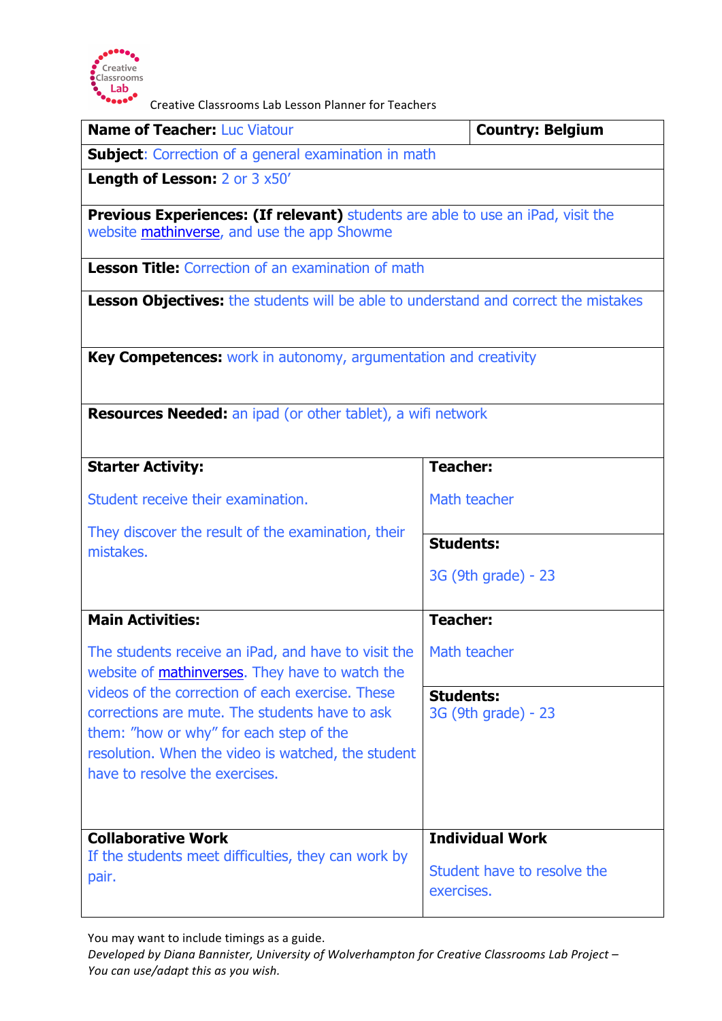

Creative Classrooms Lab Lesson Planner for Teachers

| <b>Name of Teacher: Luc Viatour</b>                                                                                                   | <b>Country: Belgium</b>                 |  |
|---------------------------------------------------------------------------------------------------------------------------------------|-----------------------------------------|--|
| <b>Subject:</b> Correction of a general examination in math                                                                           |                                         |  |
| <b>Length of Lesson: 2 or 3 x50'</b>                                                                                                  |                                         |  |
| <b>Previous Experiences: (If relevant)</b> students are able to use an iPad, visit the<br>website mathinverse, and use the app Showme |                                         |  |
| <b>Lesson Title:</b> Correction of an examination of math                                                                             |                                         |  |
| <b>Lesson Objectives:</b> the students will be able to understand and correct the mistakes                                            |                                         |  |
| Key Competences: work in autonomy, argumentation and creativity                                                                       |                                         |  |
| <b>Resources Needed:</b> an ipad (or other tablet), a wifi network                                                                    |                                         |  |
| <b>Starter Activity:</b>                                                                                                              | <b>Teacher:</b>                         |  |
| Student receive their examination.                                                                                                    | Math teacher                            |  |
| They discover the result of the examination, their<br>mistakes.                                                                       | <b>Students:</b>                        |  |
|                                                                                                                                       | 3G (9th grade) - 23                     |  |
| <b>Main Activities:</b>                                                                                                               | <b>Teacher:</b>                         |  |
| The students receive an iPad, and have to visit the<br>website of <b>mathinverses</b> . They have to watch the                        | Math teacher                            |  |
| videos of the correction of each exercise. These<br>corrections are mute. The students have to ask                                    | <b>Students:</b><br>3G (9th grade) - 23 |  |
| them: "how or why" for each step of the                                                                                               |                                         |  |
| resolution. When the video is watched, the student<br>have to resolve the exercises.                                                  |                                         |  |
|                                                                                                                                       |                                         |  |
| <b>Collaborative Work</b><br>If the students meet difficulties, they can work by<br>pair.                                             | <b>Individual Work</b>                  |  |
|                                                                                                                                       | Student have to resolve the             |  |
|                                                                                                                                       | exercises.                              |  |
|                                                                                                                                       |                                         |  |

You may want to include timings as a guide.

Developed by Diana Bannister, University of Wolverhampton for Creative Classrooms Lab Project -You can use/adapt this as you wish.